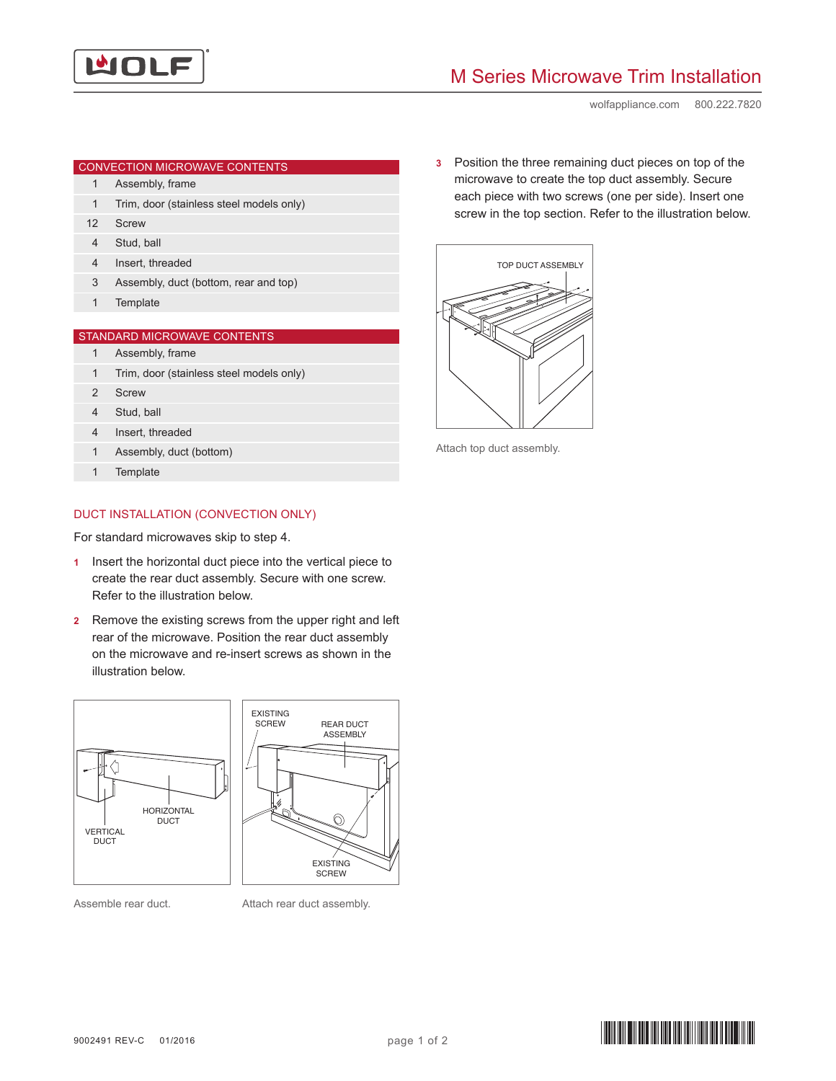

## M Series Microwave Trim Installation

wolfappliance.com 800.222.7820

| CONVECTION MICROWAVE CONTENTS |  |
|-------------------------------|--|
|                               |  |

- 1 Assembly, frame
- 1 Trim, door (stainless steel models only)
- 12 Screw
- 4 Stud, ball
- 4 Insert, threaded
- 3 Assembly, duct (bottom, rear and top)
- 1 Template

## STANDARD MICROWAVE CONTENTS

- 1 Assembly, frame
- 1 Trim, door (stainless steel models only)
- 2 Screw
- 4 Stud, ball
- 4 Insert, threaded
- 1 Assembly, duct (bottom)
- 1 Template

## DUCT INSTALLATION (CONVECTION ONLY)

For standard microwaves skip to step 4.

- **1** Insert the horizontal duct piece into the vertical piece to create the rear duct assembly. Secure with one screw. Refer to the illustration below.
- **2** Remove the existing screws from the upper right and left rear of the microwave. Position the rear duct assembly on the microwave and re-insert screws as shown in the illustration below.



Assemble rear duct.

Attach rear duct assembly.

**3** Position the three remaining duct pieces on top of the microwave to create the top duct assembly. Secure each piece with two screws (one per side). Insert one screw in the top section. Refer to the illustration below.



Attach top duct assembly.